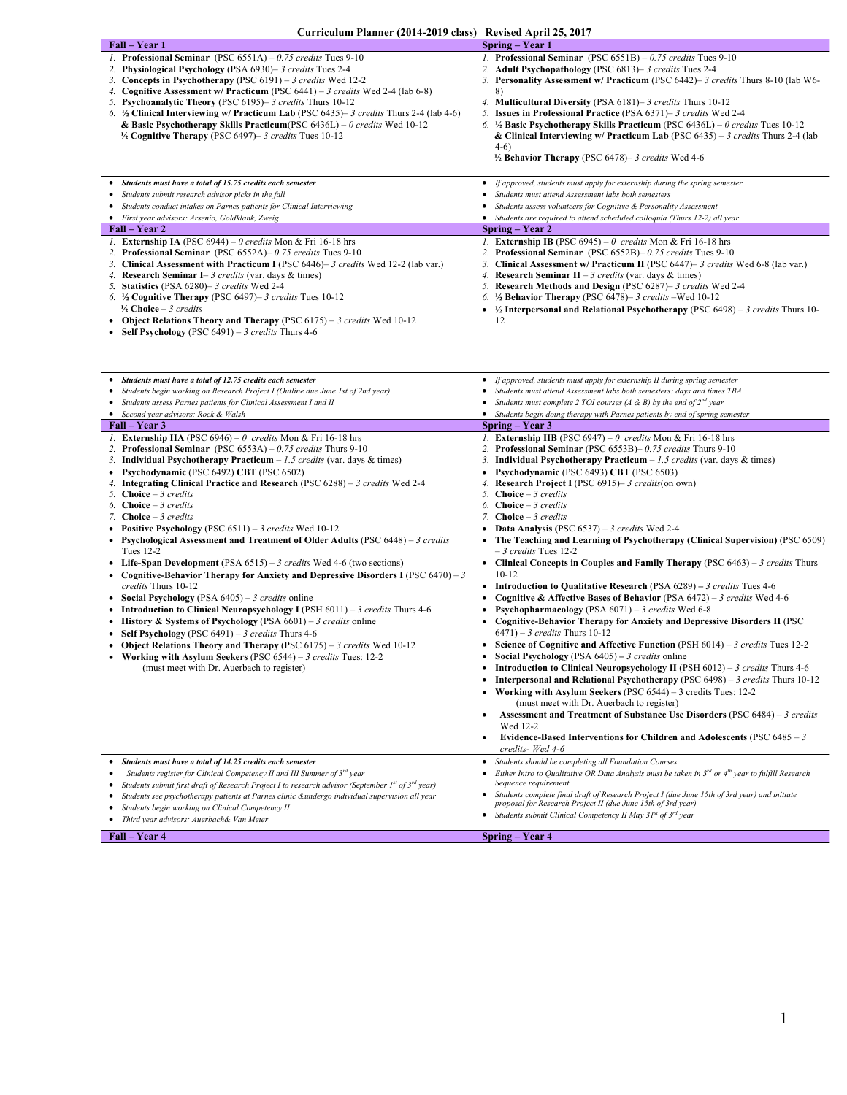| Fall – Year 1                                                                                                                                                                                                                                                                                                                                                                                                                                                                                                                                                                                                                                                                                                                                                                                                                                                                                                                                                                                                                                                                                                                                                                                                                                                              | Spring – Year 1                                                                                                                                                                                                                                                                                                                                                                                                                                                                                                                                                                                                                                                                                                                                                                                                                                                                                                                                                                                                                                                                                                                                                                                                                                                                                                                                                                                                                                                                                                                                                                                                                                                                                                    |
|----------------------------------------------------------------------------------------------------------------------------------------------------------------------------------------------------------------------------------------------------------------------------------------------------------------------------------------------------------------------------------------------------------------------------------------------------------------------------------------------------------------------------------------------------------------------------------------------------------------------------------------------------------------------------------------------------------------------------------------------------------------------------------------------------------------------------------------------------------------------------------------------------------------------------------------------------------------------------------------------------------------------------------------------------------------------------------------------------------------------------------------------------------------------------------------------------------------------------------------------------------------------------|--------------------------------------------------------------------------------------------------------------------------------------------------------------------------------------------------------------------------------------------------------------------------------------------------------------------------------------------------------------------------------------------------------------------------------------------------------------------------------------------------------------------------------------------------------------------------------------------------------------------------------------------------------------------------------------------------------------------------------------------------------------------------------------------------------------------------------------------------------------------------------------------------------------------------------------------------------------------------------------------------------------------------------------------------------------------------------------------------------------------------------------------------------------------------------------------------------------------------------------------------------------------------------------------------------------------------------------------------------------------------------------------------------------------------------------------------------------------------------------------------------------------------------------------------------------------------------------------------------------------------------------------------------------------------------------------------------------------|
| <i>l.</i> Professional Seminar (PSC 6551A) $-0.75$ credits Tues 9-10<br>2. Physiological Psychology (PSA 6930)– 3 credits Tues 2-4<br>3. Concepts in Psychotherapy (PSC $6191$ ) – 3 credits Wed 12-2<br>4. Cognitive Assessment w/ Practicum (PSC 6441) - 3 credits Wed 2-4 (lab 6-8)<br>5. Psychoanalytic Theory (PSC 6195)– 3 credits Thurs 10-12<br>6. $\frac{1}{2}$ Clinical Interviewing w/ Practicum Lab (PSC 6435)–3 credits Thurs 2-4 (lab 4-6)<br>& Basic Psychotherapy Skills Practicum (PSC 6436L) - 0 credits Wed 10-12<br><sup>1</sup> / <sub>2</sub> Cognitive Therapy (PSC 6497)– 3 credits Tues 10-12<br>• Students must have a total of 15.75 credits each semester<br>Students submit research advisor picks in the fall                                                                                                                                                                                                                                                                                                                                                                                                                                                                                                                                | <i>I.</i> Professional Seminar (PSC $6551B$ ) – 0.75 credits Tues 9-10<br>Adult Psychopathology (PSC 6813)– 3 credits Tues 2-4<br>3. Personality Assessment w/ Practicum (PSC 6442)– 3 credits Thurs 8-10 (lab W6-<br>8)<br><b>Multicultural Diversity</b> (PSA 6181)– 3 credits Thurs 10-12<br>4.<br>5. Issues in Professional Practice (PSA 6371)– 3 credits Wed 2-4<br>6. $\frac{1}{2}$ Basic Psychotherapy Skills Practicum (PSC 6436L) – 0 credits Tues 10-12<br>& Clinical Interviewing w/ Practicum Lab (PSC 6435) – 3 credits Thurs 2-4 (lab<br>$4-6)$<br><sup>1</sup> / <sub>2</sub> Behavior Therapy (PSC 6478)– 3 credits Wed 4-6<br>If approved, students must apply for externship during the spring semester<br>٠<br>Students must attend Assessment labs both semesters                                                                                                                                                                                                                                                                                                                                                                                                                                                                                                                                                                                                                                                                                                                                                                                                                                                                                                                             |
| • Students conduct intakes on Parnes patients for Clinical Interviewing<br>· First year advisors: Arsenio, Goldklank, Zweig                                                                                                                                                                                                                                                                                                                                                                                                                                                                                                                                                                                                                                                                                                                                                                                                                                                                                                                                                                                                                                                                                                                                                | Students assess volunteers for Cognitive & Personality Assessment<br>Students are required to attend scheduled colloquia (Thurs 12-2) all year                                                                                                                                                                                                                                                                                                                                                                                                                                                                                                                                                                                                                                                                                                                                                                                                                                                                                                                                                                                                                                                                                                                                                                                                                                                                                                                                                                                                                                                                                                                                                                     |
| Fall – Year 2                                                                                                                                                                                                                                                                                                                                                                                                                                                                                                                                                                                                                                                                                                                                                                                                                                                                                                                                                                                                                                                                                                                                                                                                                                                              | Spring – Year 2                                                                                                                                                                                                                                                                                                                                                                                                                                                                                                                                                                                                                                                                                                                                                                                                                                                                                                                                                                                                                                                                                                                                                                                                                                                                                                                                                                                                                                                                                                                                                                                                                                                                                                    |
| <i>I.</i> Externship IA (PSC 6944) – 0 credits Mon & Fri 16-18 hrs<br>2. Professional Seminar (PSC 6552A) – 0.75 credits Tues 9-10<br>3. Clinical Assessment with Practicum I (PSC 6446)– 3 credits Wed 12-2 (lab var.)<br>4. Research Seminar I- 3 credits (var. days & times)<br>5. Statistics (PSA 6280)– 3 credits Wed 2-4<br>6. $\frac{1}{2}$ Cognitive Therapy (PSC 6497)– 3 credits Tues 10-12<br>$\frac{1}{2}$ Choice – 3 credits<br>• Object Relations Theory and Therapy (PSC $6175$ ) – 3 credits Wed 10-12<br>• Self Psychology (PSC 6491) – 3 credits Thurs 4-6                                                                                                                                                                                                                                                                                                                                                                                                                                                                                                                                                                                                                                                                                               | <i>l.</i> <b>Externship IB</b> (PSC 6945) – 0 credits Mon & Fri 16-18 hrs<br>2. Professional Seminar (PSC 6552B) - 0.75 credits Tues 9-10<br>3. Clinical Assessment w/ Practicum II (PSC 6447)– 3 credits Wed 6-8 (lab var.)<br><b>Research Seminar II</b> – 3 credits (var. days & times)<br>4.<br>5. Research Methods and Design (PSC 6287)– 3 credits Wed 2-4<br>6. $\frac{1}{2}$ Behavior Therapy (PSC 6478)– 3 credits – Wed 10-12<br>$\frac{1}{2}$ Interpersonal and Relational Psychotherapy (PSC 6498) – 3 credits Thurs 10-<br>12                                                                                                                                                                                                                                                                                                                                                                                                                                                                                                                                                                                                                                                                                                                                                                                                                                                                                                                                                                                                                                                                                                                                                                         |
| • Students must have a total of 12.75 credits each semester<br>• Students begin working on Research Project I (Outline due June 1st of 2nd year)<br>Students assess Parnes patients for Clinical Assessment I and II<br>• Second year advisors: Rock & Walsh                                                                                                                                                                                                                                                                                                                                                                                                                                                                                                                                                                                                                                                                                                                                                                                                                                                                                                                                                                                                               | If approved, students must apply for externship II during spring semester<br>٠<br>Students must attend Assessment labs both semesters: days and times TBA<br>Students must complete 2 TOI courses (A & B) by the end of $2^{nd}$ year<br>• Students begin doing therapy with Parnes patients by end of spring semester                                                                                                                                                                                                                                                                                                                                                                                                                                                                                                                                                                                                                                                                                                                                                                                                                                                                                                                                                                                                                                                                                                                                                                                                                                                                                                                                                                                             |
| Fall – Year 3                                                                                                                                                                                                                                                                                                                                                                                                                                                                                                                                                                                                                                                                                                                                                                                                                                                                                                                                                                                                                                                                                                                                                                                                                                                              | Spring – Year 3                                                                                                                                                                                                                                                                                                                                                                                                                                                                                                                                                                                                                                                                                                                                                                                                                                                                                                                                                                                                                                                                                                                                                                                                                                                                                                                                                                                                                                                                                                                                                                                                                                                                                                    |
| <i>l.</i> <b>Externship IIA</b> (PSC 6946) – 0 credits Mon & Fri 16-18 hrs<br>2. Professional Seminar (PSC 6553A) - 0.75 credits Thurs 9-10<br>3. Individual Psychotherapy Practicum $-1.5$ credits (var. days & times)<br>• Psychodynamic (PSC 6492) CBT (PSC 6502)<br>4. Integrating Clinical Practice and Research (PSC 6288) – 3 credits Wed 2-4<br>5. Choice $-3$ credits<br>6. Choice $-3$ credits<br>7. <b>Choice</b> $-$ 3 credits<br>• Positive Psychology (PSC $6511$ ) – 3 credits Wed 10-12<br>• Psychological Assessment and Treatment of Older Adults (PSC $6448$ ) – 3 credits<br>Tues 12-2<br>• Life-Span Development (PSA $6515$ ) – 3 credits Wed 4-6 (two sections)<br>• Cognitive-Behavior Therapy for Anxiety and Depressive Disorders I (PSC $6470 - 3$<br>credits Thurs 10-12<br>• Social Psychology (PSA $6405$ ) – 3 credits online<br>• Introduction to Clinical Neuropsychology I (PSH $6011$ ) – 3 credits Thurs 4-6<br>• History & Systems of Psychology (PSA $6601$ ) – 3 credits online<br>• Self Psychology (PSC 6491) – 3 credits Thurs 4-6<br>• Object Relations Theory and Therapy (PSC $6175$ ) – 3 credits Wed 10-12<br>Working with Asylum Seekers (PSC $6544$ ) – 3 credits Tues: 12-2<br>(must meet with Dr. Auerbach to register) | <i>I.</i> Externship IIB (PSC 6947) – 0 credits Mon & Fri 16-18 hrs<br>Professional Seminar (PSC 6553B)– 0.75 credits Thurs 9-10<br>2.<br><b>Individual Psychotherapy Practicum</b> $-1.5$ credits (var. days & times)<br>3.<br>Psychodynamic (PSC 6493) CBT (PSC 6503)<br><b>Research Project I</b> (PSC 6915)– 3 credits (on own)<br>5. <b>Choice</b> $-$ 3 credits<br>6. Choice $-3$ credits<br>Choice $-3$ credits<br><b>Data Analysis (PSC 6537)</b> – 3 credits Wed 2-4<br>٠<br>The Teaching and Learning of Psychotherapy (Clinical Supervision) (PSC 6509)<br>$-3$ credits Tues 12-2<br>• Clinical Concepts in Couples and Family Therapy (PSC $6463$ ) – 3 credits Thurs<br>$10-12$<br><b>Introduction to Qualitative Research (PSA 6289)</b> – 3 credits Tues 4-6<br><b>Cognitive &amp; Affective Bases of Behavior</b> (PSA 6472) – 3 credits Wed 4-6<br><b>Psychopharmacology</b> (PSA $6071$ ) – 3 credits Wed 6-8<br>Cognitive-Behavior Therapy for Anxiety and Depressive Disorders II (PSC<br>$(6471) - 3$ credits Thurs 10-12<br>• Science of Cognitive and Affective Function (PSH $6014$ ) – 3 credits Tues 12-2<br><b>Social Psychology</b> (PSA $6405$ ) – 3 credits online<br><b>Introduction to Clinical Neuropsychology II</b> (PSH $6012$ ) – 3 credits Thurs 4-6<br><b>Interpersonal and Relational Psychotherapy</b> (PSC $6498$ ) – 3 credits Thurs 10-12<br>٠<br><b>Working with Asylum Seekers</b> (PSC $6544$ ) – 3 credits Tues: 12-2<br>(must meet with Dr. Auerbach to register)<br><b>Assessment and Treatment of Substance Use Disorders</b> (PSC 6484) – 3 credits<br>٠<br>Wed 12-2<br>Evidence-Based Interventions for Children and Adolescents (PSC $6485 - 3$<br>$\bullet$ |
|                                                                                                                                                                                                                                                                                                                                                                                                                                                                                                                                                                                                                                                                                                                                                                                                                                                                                                                                                                                                                                                                                                                                                                                                                                                                            | credits-Wed 4-6                                                                                                                                                                                                                                                                                                                                                                                                                                                                                                                                                                                                                                                                                                                                                                                                                                                                                                                                                                                                                                                                                                                                                                                                                                                                                                                                                                                                                                                                                                                                                                                                                                                                                                    |
| Students must have a total of 14.25 credits each semester<br>Students register for Clinical Competency II and III Summer of 3rd year<br>Students submit first draft of Research Project I to research advisor (September 1st of $3^{rd}$ year)<br>Students see psychotherapy patients at Parnes clinic &undergo individual supervision all year<br>٠<br>Students begin working on Clinical Competency II<br>• Third year advisors: Auerbach& Van Meter                                                                                                                                                                                                                                                                                                                                                                                                                                                                                                                                                                                                                                                                                                                                                                                                                     | Students should be completing all Foundation Courses<br>٠<br>Either Intro to Qualitative OR Data Analysis must be taken in $3^{rd}$ or $4^{th}$ year to fulfill Research<br>Sequence requirement<br>Students complete final draft of Research Project I (due June 15th of 3rd year) and initiate<br>proposal for Research Project II (due June 15th of 3rd year)<br>Students submit Clinical Competency II May 31st of 3rd year                                                                                                                                                                                                                                                                                                                                                                                                                                                                                                                                                                                                                                                                                                                                                                                                                                                                                                                                                                                                                                                                                                                                                                                                                                                                                    |